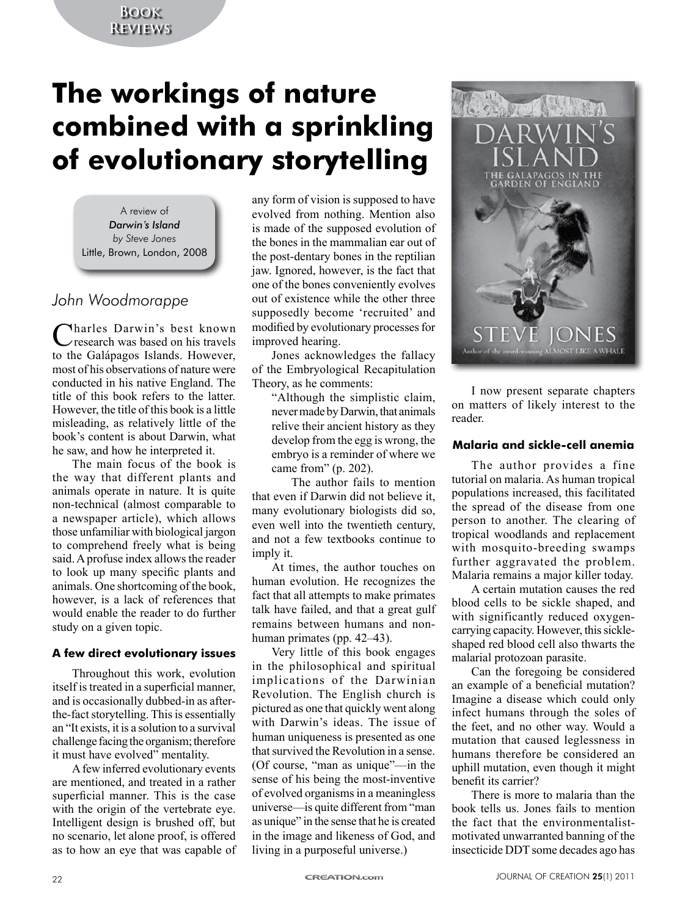# **Book Reviews**

# **The workings of nature combined with a sprinkling of evolutionary storytelling**

A review of *Darwin's Island by Steve Jones* Little, Brown, London, 2008

# *John Woodmorappe*

Charles Darwin's best known research was based on his travels to the Galápagos Islands. However, most of his observations of nature were conducted in his native England. The title of this book refers to the latter. However, the title of this book is a little misleading, as relatively little of the book's content is about Darwin, what he saw, and how he interpreted it.

The main focus of the book is the way that different plants and animals operate in nature. It is quite non-technical (almost comparable to a newspaper article), which allows those unfamiliar with biological jargon to comprehend freely what is being said. A profuse index allows the reader to look up many specific plants and animals. One shortcoming of the book, however, is a lack of references that would enable the reader to do further study on a given topic.

#### **A few direct evolutionary issues**

Throughout this work, evolution itself is treated in a superficial manner, and is occasionally dubbed-in as afterthe-fact storytelling. This is essentially an "It exists, it is a solution to a survival challenge facing the organism; therefore it must have evolved" mentality.

A few inferred evolutionary events are mentioned, and treated in a rather superficial manner. This is the case with the origin of the vertebrate eye. Intelligent design is brushed off, but no scenario, let alone proof, is offered as to how an eye that was capable of

any form of vision is supposed to have evolved from nothing. Mention also is made of the supposed evolution of the bones in the mammalian ear out of the post-dentary bones in the reptilian jaw. Ignored, however, is the fact that one of the bones conveniently evolves out of existence while the other three supposedly become 'recruited' and modified by evolutionary processes for improved hearing.

Jones acknowledges the fallacy of the Embryological Recapitulation Theory, as he comments:

"Although the simplistic claim, never made by Darwin, that animals relive their ancient history as they develop from the egg is wrong, the embryo is a reminder of where we came from" (p. 202).

The author fails to mention that even if Darwin did not believe it, many evolutionary biologists did so, even well into the twentieth century, and not a few textbooks continue to imply it.

At times, the author touches on human evolution. He recognizes the fact that all attempts to make primates talk have failed, and that a great gulf remains between humans and nonhuman primates (pp. 42–43).

Very little of this book engages in the philosophical and spiritual implications of the Darwinian Revolution. The English church is pictured as one that quickly went along with Darwin's ideas. The issue of human uniqueness is presented as one that survived the Revolution in a sense. (Of course, "man as unique"—in the sense of his being the most-inventive of evolved organisms in a meaningless universe—is quite different from "man as unique" in the sense that he is created in the image and likeness of God, and living in a purposeful universe.)



I now present separate chapters on matters of likely interest to the reader.

### **Malaria and sickle-cell anemia**

The author provides a fine tutorial on malaria. As human tropical populations increased, this facilitated the spread of the disease from one person to another. The clearing of tropical woodlands and replacement with mosquito-breeding swamps further aggravated the problem. Malaria remains a major killer today.

A certain mutation causes the red blood cells to be sickle shaped, and with significantly reduced oxygencarrying capacity. However, this sickleshaped red blood cell also thwarts the malarial protozoan parasite.

Can the foregoing be considered an example of a beneficial mutation? Imagine a disease which could only infect humans through the soles of the feet, and no other way. Would a mutation that caused leglessness in humans therefore be considered an uphill mutation, even though it might benefit its carrier?

There is more to malaria than the book tells us. Jones fails to mention the fact that the environmentalistmotivated unwarranted banning of the insecticide DDT some decades ago has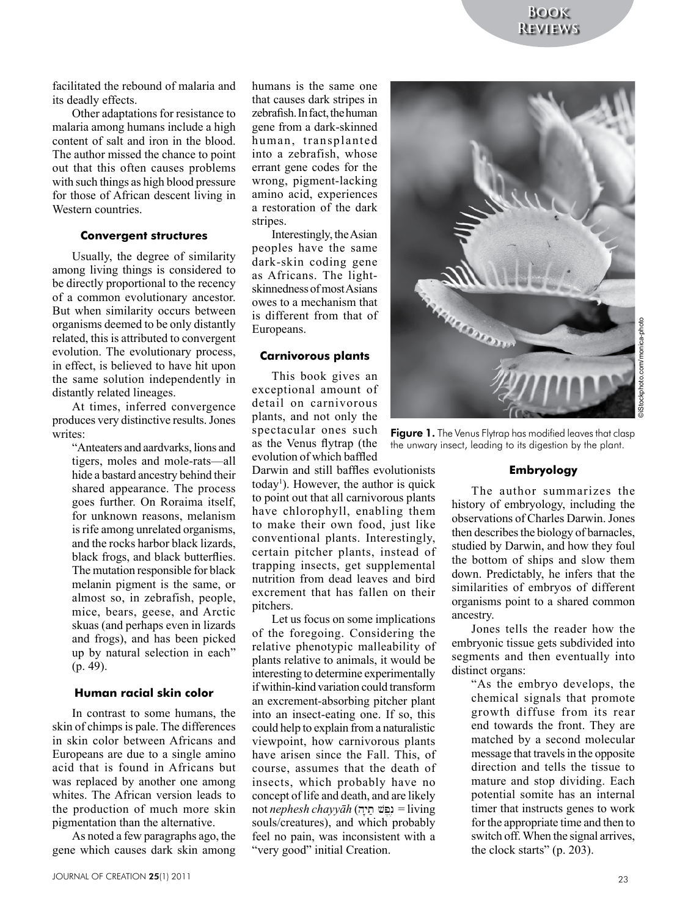facilitated the rebound of malaria and its deadly effects.

Other adaptations for resistance to malaria among humans include a high content of salt and iron in the blood. The author missed the chance to point out that this often causes problems with such things as high blood pressure for those of African descent living in Western countries.

#### **Convergent structures**

Usually, the degree of similarity among living things is considered to be directly proportional to the recency of a common evolutionary ancestor. But when similarity occurs between organisms deemed to be only distantly related, this is attributed to convergent evolution. The evolutionary process, in effect, is believed to have hit upon the same solution independently in distantly related lineages.

At times, inferred convergence produces very distinctive results. Jones writes:

"Anteaters and aardvarks, lions and tigers, moles and mole-rats—all hide a bastard ancestry behind their shared appearance. The process goes further. On Roraima itself, for unknown reasons, melanism is rife among unrelated organisms, and the rocks harbor black lizards, black frogs, and black butterflies. The mutation responsible for black melanin pigment is the same, or almost so, in zebrafish, people, mice, bears, geese, and Arctic skuas (and perhaps even in lizards and frogs), and has been picked up by natural selection in each" (p. 49).

#### **Human racial skin color**

In contrast to some humans, the skin of chimps is pale. The differences in skin color between Africans and Europeans are due to a single amino acid that is found in Africans but was replaced by another one among whites. The African version leads to the production of much more skin pigmentation than the alternative.

As noted a few paragraphs ago, the gene which causes dark skin among

zebrafish. In fact, the human gene from a dark-skinned human, transplanted into a zebrafish, whose errant gene codes for the wrong, pigment-lacking amino acid, experiences a restoration of the dark stripes. Interestingly, the Asian

peoples have the same dark-skin coding gene as Africans. The lightskinnedness of most Asians owes to a mechanism that is different from that of Europeans.

humans is the same one that causes dark stripes in

#### **Carnivorous plants**

This book gives an exceptional amount of detail on carnivorous plants, and not only the spectacular ones such as the Venus flytrap (the evolution of which baffled

Darwin and still baffles evolutionists today<sup>1</sup>). However, the author is quick to point out that all carnivorous plants have chlorophyll, enabling them to make their own food, just like conventional plants. Interestingly, certain pitcher plants, instead of trapping insects, get supplemental nutrition from dead leaves and bird excrement that has fallen on their pitchers.

Let us focus on some implications of the foregoing. Considering the relative phenotypic malleability of plants relative to animals, it would be interesting to determine experimentally if within-kind variation could transform an excrement-absorbing pitcher plant into an insect-eating one. If so, this could help to explain from a naturalistic viewpoint, how carnivorous plants have arisen since the Fall. This, of course, assumes that the death of insects, which probably have no concept of life and death, and are likely not *nephesh chayyāh* (hy't; vp,n, = living souls/creatures), and which probably feel no pain, was inconsistent with a "very good" initial Creation.



Figure 1. The Venus Flytrap has modified leaves that clasp the unwary insect, leading to its digestion by the plant.

#### **Embryology**

The author summarizes the history of embryology, including the observations of Charles Darwin. Jones then describes the biology of barnacles, studied by Darwin, and how they foul the bottom of ships and slow them down. Predictably, he infers that the similarities of embryos of different organisms point to a shared common ancestry.

Jones tells the reader how the embryonic tissue gets subdivided into segments and then eventually into distinct organs:

"As the embryo develops, the chemical signals that promote growth diffuse from its rear end towards the front. They are matched by a second molecular message that travels in the opposite direction and tells the tissue to mature and stop dividing. Each potential somite has an internal timer that instructs genes to work for the appropriate time and then to switch off. When the signal arrives, the clock starts" (p. 203).